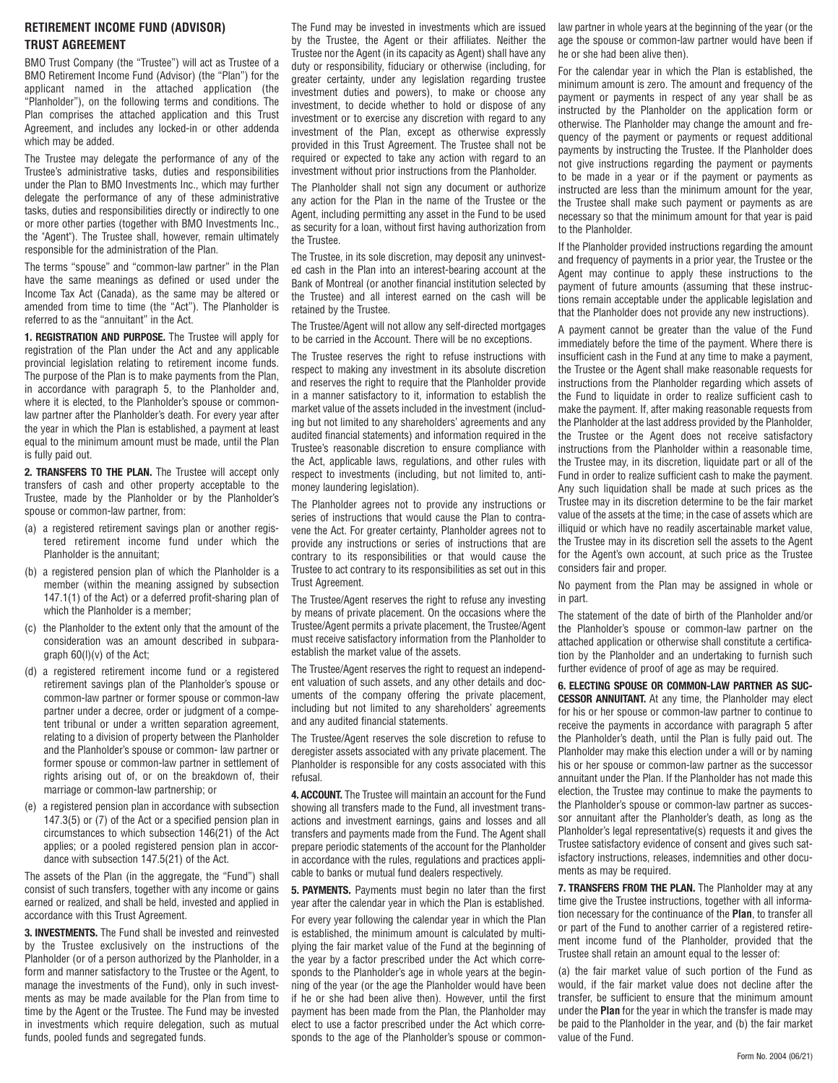#### **RETIREMENT INCOME FUND (ADVISOR) TRUST AGREEMENT**

BMO Trust Company (the "Trustee") will act as Trustee of a BMO Retirement Income Fund (Advisor) (the "Plan") for the applicant named in the attached application (the "Planholder"), on the following terms and conditions. The Plan comprises the attached application and this Trust Agreement, and includes any locked-in or other addenda which may be added.

The Trustee may delegate the performance of any of the Trustee's administrative tasks, duties and responsibilities under the Plan to BMO Investments Inc., which may further delegate the performance of any of these administrative tasks, duties and responsibilities directly or indirectly to one or more other parties (together with BMO Investments Inc., the "Agent"). The Trustee shall, however, remain ultimately responsible for the administration of the Plan.

The terms "spouse" and "common-law partner" in the Plan have the same meanings as defined or used under the Income Tax Act (Canada), as the same may be altered or amended from time to time (the "Act"). The Planholder is referred to as the "annuitant" in the Act.

**1. REGISTRATION AND PURPOSE.** The Trustee will apply for registration of the Plan under the Act and any applicable provincial legislation relating to retirement income funds. The purpose of the Plan is to make payments from the Plan, in accordance with paragraph 5, to the Planholder and, where it is elected, to the Planholder's spouse or commonlaw partner after the Planholder's death. For every year after the year in which the Plan is established, a payment at least equal to the minimum amount must be made, until the Plan is fully paid out.

**2. TRANSFERS TO THE PLAN.** The Trustee will accept only transfers of cash and other property acceptable to the Trustee, made by the Planholder or by the Planholder's spouse or common-law partner, from:

- (a) a registered retirement savings plan or another registered retirement income fund under which the Planholder is the annuitant;
- (b) a registered pension plan of which the Planholder is a member (within the meaning assigned by subsection 147.1(1) of the Act) or a deferred profit-sharing plan of which the Planholder is a member;
- (c) the Planholder to the extent only that the amount of the consideration was an amount described in subparagraph 60(l)(v) of the Act;
- (d) a registered retirement income fund or a registered retirement savings plan of the Planholder's spouse or common-law partner or former spouse or common-law partner under a decree, order or judgment of a competent tribunal or under a written separation agreement, relating to a division of property between the Planholder and the Planholder's spouse or common- law partner or former spouse or common-law partner in settlement of rights arising out of, or on the breakdown of, their marriage or common-law partnership; or
- (e) a registered pension plan in accordance with subsection 147.3(5) or (7) of the Act or a specified pension plan in circumstances to which subsection 146(21) of the Act applies; or a pooled registered pension plan in accordance with subsection 147.5(21) of the Act.

The assets of the Plan (in the aggregate, the "Fund") shall consist of such transfers, together with any income or gains earned or realized, and shall be held, invested and applied in accordance with this Trust Agreement.

**3. INVESTMENTS.** The Fund shall be invested and reinvested by the Trustee exclusively on the instructions of the Planholder (or of a person authorized by the Planholder, in a form and manner satisfactory to the Trustee or the Agent, to manage the investments of the Fund), only in such investments as may be made available for the Plan from time to time by the Agent or the Trustee. The Fund may be invested in investments which require delegation, such as mutual funds, pooled funds and segregated funds.

The Fund may be invested in investments which are issued by the Trustee, the Agent or their affiliates. Neither the Trustee nor the Agent (in its capacity as Agent) shall have any duty or responsibility, fiduciary or otherwise (including, for greater certainty, under any legislation regarding trustee investment duties and powers), to make or choose any investment, to decide whether to hold or dispose of any investment or to exercise any discretion with regard to any investment of the Plan, except as otherwise expressly provided in this Trust Agreement. The Trustee shall not be required or expected to take any action with regard to an investment without prior instructions from the Planholder.

The Planholder shall not sign any document or authorize any action for the Plan in the name of the Trustee or the Agent, including permitting any asset in the Fund to be used as security for a loan, without first having authorization from the Trustee.

The Trustee, in its sole discretion, may deposit any uninvested cash in the Plan into an interest-bearing account at the Bank of Montreal (or another financial institution selected by the Trustee) and all interest earned on the cash will be retained by the Trustee.

The Trustee/Agent will not allow any self-directed mortgages to be carried in the Account. There will be no exceptions.

The Trustee reserves the right to refuse instructions with respect to making any investment in its absolute discretion and reserves the right to require that the Planholder provide in a manner satisfactory to it, information to establish the market value of the assets included in the investment (including but not limited to any shareholders' agreements and any audited financial statements) and information required in the Trustee's reasonable discretion to ensure compliance with the Act, applicable laws, regulations, and other rules with respect to investments (including, but not limited to, antimoney laundering legislation).

The Planholder agrees not to provide any instructions or series of instructions that would cause the Plan to contravene the Act. For greater certainty, Planholder agrees not to provide any instructions or series of instructions that are contrary to its responsibilities or that would cause the Trustee to act contrary to its responsibilities as set out in this Trust Agreement.

The Trustee/Agent reserves the right to refuse any investing by means of private placement. On the occasions where the Trustee/Agent permits a private placement, the Trustee/Agent must receive satisfactory information from the Planholder to establish the market value of the assets.

The Trustee/Agent reserves the right to request an independent valuation of such assets, and any other details and documents of the company offering the private placement, including but not limited to any shareholders' agreements and any audited financial statements.

The Trustee/Agent reserves the sole discretion to refuse to deregister assets associated with any private placement. The Planholder is responsible for any costs associated with this refusal.

**4. ACCOUNT.** The Trustee will maintain an account for the Fund showing all transfers made to the Fund, all investment transactions and investment earnings, gains and losses and all transfers and payments made from the Fund. The Agent shall prepare periodic statements of the account for the Planholder in accordance with the rules, regulations and practices applicable to banks or mutual fund dealers respectively.

**5. PAYMENTS.** Payments must begin no later than the first year after the calendar year in which the Plan is established.

For every year following the calendar year in which the Plan is established, the minimum amount is calculated by multiplying the fair market value of the Fund at the beginning of the year by a factor prescribed under the Act which corresponds to the Planholder's age in whole years at the beginning of the year (or the age the Planholder would have been if he or she had been alive then). However, until the first payment has been made from the Plan, the Planholder may elect to use a factor prescribed under the Act which corresponds to the age of the Planholder's spouse or commonlaw partner in whole years at the beginning of the year (or the age the spouse or common-law partner would have been if he or she had been alive then).

For the calendar year in which the Plan is established, the minimum amount is zero. The amount and frequency of the payment or payments in respect of any year shall be as instructed by the Planholder on the application form or otherwise. The Planholder may change the amount and frequency of the payment or payments or request additional payments by instructing the Trustee. If the Planholder does not give instructions regarding the payment or payments to be made in a year or if the payment or payments as instructed are less than the minimum amount for the year, the Trustee shall make such payment or payments as are necessary so that the minimum amount for that year is paid to the Planholder.

If the Planholder provided instructions regarding the amount and frequency of payments in a prior year, the Trustee or the Agent may continue to apply these instructions to the payment of future amounts (assuming that these instructions remain acceptable under the applicable legislation and that the Planholder does not provide any new instructions).

A payment cannot be greater than the value of the Fund immediately before the time of the payment. Where there is insufficient cash in the Fund at any time to make a payment, the Trustee or the Agent shall make reasonable requests for instructions from the Planholder regarding which assets of the Fund to liquidate in order to realize sufficient cash to make the payment. If, after making reasonable requests from the Planholder at the last address provided by the Planholder, the Trustee or the Agent does not receive satisfactory instructions from the Planholder within a reasonable time, the Trustee may, in its discretion, liquidate part or all of the Fund in order to realize sufficient cash to make the payment. Any such liquidation shall be made at such prices as the Trustee may in its discretion determine to be the fair market value of the assets at the time; in the case of assets which are illiquid or which have no readily ascertainable market value, the Trustee may in its discretion sell the assets to the Agent for the Agent's own account, at such price as the Trustee considers fair and proper.

No payment from the Plan may be assigned in whole or in part.

The statement of the date of birth of the Planholder and/or the Planholder's spouse or common-law partner on the attached application or otherwise shall constitute a certification by the Planholder and an undertaking to furnish such further evidence of proof of age as may be required.

**6. ELECTING SPOUSE OR COMMON-LAW PARTNER AS SUC-CESSOR ANNUITANT.** At any time, the Planholder may elect for his or her spouse or common-law partner to continue to receive the payments in accordance with paragraph 5 after the Planholder's death, until the Plan is fully paid out. The Planholder may make this election under a will or by naming his or her spouse or common-law partner as the successor annuitant under the Plan. If the Planholder has not made this election, the Trustee may continue to make the payments to the Planholder's spouse or common-law partner as successor annuitant after the Planholder's death, as long as the Planholder's legal representative(s) requests it and gives the Trustee satisfactory evidence of consent and gives such satisfactory instructions, releases, indemnities and other documents as may be required.

**7. TRANSFERS FROM THE PLAN.** The Planholder may at any time give the Trustee instructions, together with all information necessary for the continuance of the **Plan**, to transfer all or part of the Fund to another carrier of a registered retirement income fund of the Planholder, provided that the Trustee shall retain an amount equal to the lesser of:

(a) the fair market value of such portion of the Fund as would, if the fair market value does not decline after the transfer, be sufficient to ensure that the minimum amount under the **Plan** for the year in which the transfer is made may be paid to the Planholder in the year, and (b) the fair market value of the Fund.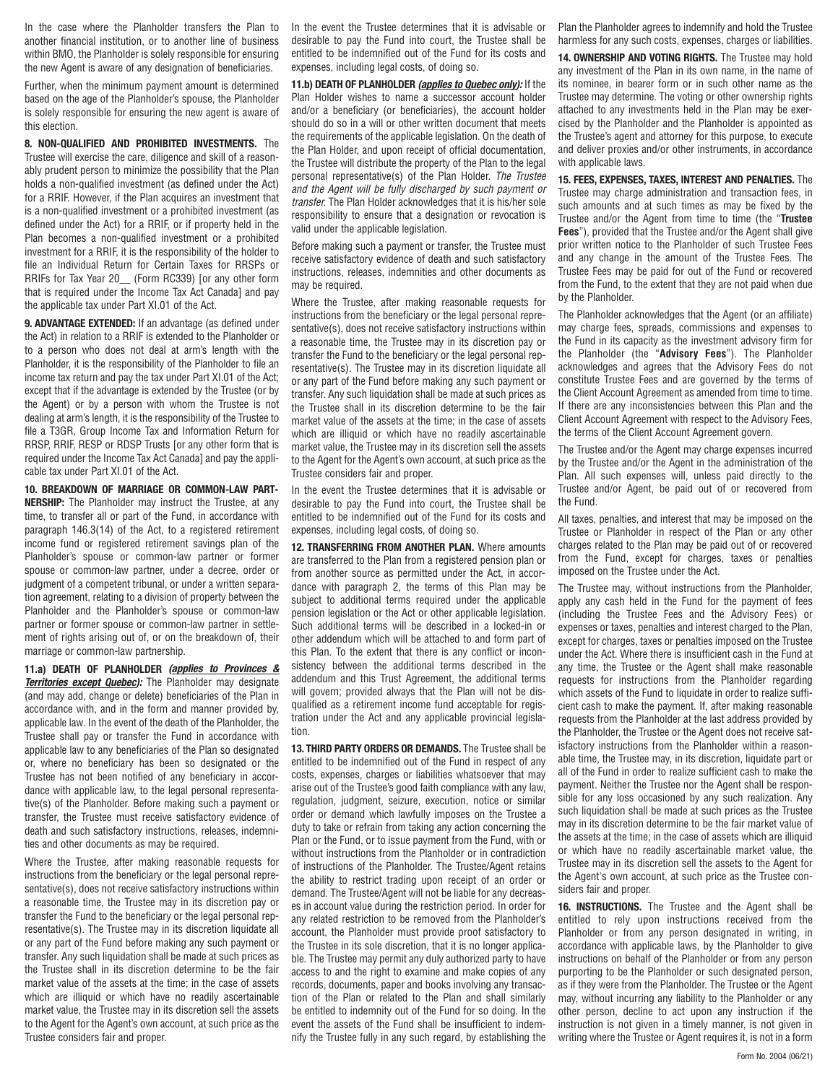In the case where the Planholder transfers the Plan to another financial institution, or to another line of business within BMO, the Planholder is solely responsible for ensuring the new Agent is aware of any designation of beneficiaries.

Further, when the minimum payment amount is determined based on the age of the Planholder's spouse, the Planholder is solely responsible for ensuring the new agent is aware of this election.

**8. NON-QUALIFIED AND PROHIBITED INVESTMENTS.** The Trustee will exercise the care, diligence and skill of a reasonably prudent person to minimize the possibility that the Plan holds a non-qualified investment (as defined under the Act) for a RRIF. However, if the Plan acquires an investment that is a non-qualified investment or a prohibited investment (as defined under the Act) for a RRIF, or if property held in the Plan becomes a non-qualified investment or a prohibited investment for a RRIF, it is the responsibility of the holder to file an Individual Return for Certain Taxes for RRSPs or RRIFs for Tax Year 20\_\_ (Form RC339) [or any other form that is required under the Income Tax Act Canada] and pay the applicable tax under Part XI.01 of the Act.

**9. ADVANTAGE EXTENDED:** If an advantage (as defined under the Act) in relation to a RRIF is extended to the Planholder or to a person who does not deal at arm's length with the Planholder, it is the responsibility of the Planholder to file an income tax return and pay the tax under Part XI.01 of the Act; except that if the advantage is extended by the Trustee (or by the Agent) or by a person with whom the Trustee is not dealing at arm's length, it is the responsibility of the Trustee to file a T3GR, Group Income Tax and Information Return for RRSP, RRIF, RESP or RDSP Trusts [or any other form that is required under the Income Tax Act Canada] and pay the applicable tax under Part XI.01 of the Act.

**10. BREAKDOWN OF MARRIAGE OR COMMON-LAW PART-NERSHIP:** The Planholder may instruct the Trustee, at any time, to transfer all or part of the Fund, in accordance with paragraph 146.3(14) of the Act, to a registered retirement income fund or registered retirement savings plan of the Planholder's spouse or common-law partner or former spouse or common-law partner, under a decree, order or judgment of a competent tribunal, or under a written separation agreement, relating to a division of property between the Planholder and the Planholder's spouse or common-law partner or former spouse or common-law partner in settlement of rights arising out of, or on the breakdown of, their marriage or common-law partnership.

**11.a) DEATH OF PLANHOLDER (applies to Provinces & Territories except Quebec):** The Planholder may designate (and may add, change or delete) beneficiaries of the Plan in accordance with, and in the form and manner provided by, applicable law. In the event of the death of the Planholder, the Trustee shall pay or transfer the Fund in accordance with applicable law to any beneficiaries of the Plan so designated or, where no beneficiary has been so designated or the Trustee has not been notified of any beneficiary in accordance with applicable law, to the legal personal representative(s) of the Planholder. Before making such a payment or transfer, the Trustee must receive satisfactory evidence of death and such satisfactory instructions, releases, indemnities and other documents as may be required.

Where the Trustee, after making reasonable requests for instructions from the beneficiary or the legal personal representative(s), does not receive satisfactory instructions within a reasonable time, the Trustee may in its discretion pay or transfer the Fund to the beneficiary or the legal personal representative(s). The Trustee may in its discretion liquidate all or any part of the Fund before making any such payment or transfer. Any such liquidation shall be made at such prices as the Trustee shall in its discretion determine to be the fair market value of the assets at the time; in the case of assets which are illiquid or which have no readily ascertainable market value, the Trustee may in its discretion sell the assets to the Agent for the Agent's own account, at such price as the Trustee considers fair and proper.

In the event the Trustee determines that it is advisable or desirable to pay the Fund into court, the Trustee shall be entitled to be indemnified out of the Fund for its costs and expenses, including legal costs, of doing so.

**11.b) DEATH OF PLANHOLDER (applies to Quebec only):** If the Plan Holder wishes to name a successor account holder and/or a beneficiary (or beneficiaries), the account holder should do so in a will or other written document that meets the requirements of the applicable legislation. On the death of the Plan Holder, and upon receipt of official documentation, the Trustee will distribute the property of the Plan to the legal personal representative(s) of the Plan Holder. The Trustee and the Agent will be fully discharged by such payment or transfer. The Plan Holder acknowledges that it is his/her sole responsibility to ensure that a designation or revocation is valid under the applicable legislation.

Before making such a payment or transfer, the Trustee must receive satisfactory evidence of death and such satisfactory instructions, releases, indemnities and other documents as may be required.

Where the Trustee, after making reasonable requests for instructions from the beneficiary or the legal personal representative(s), does not receive satisfactory instructions within a reasonable time, the Trustee may in its discretion pay or transfer the Fund to the beneficiary or the legal personal representative(s). The Trustee may in its discretion liquidate all or any part of the Fund before making any such payment or transfer. Any such liquidation shall be made at such prices as the Trustee shall in its discretion determine to be the fair market value of the assets at the time; in the case of assets which are illiquid or which have no readily ascertainable market value, the Trustee may in its discretion sell the assets to the Agent for the Agent's own account, at such price as the Trustee considers fair and proper.

In the event the Trustee determines that it is advisable or desirable to pay the Fund into court, the Trustee shall be entitled to be indemnified out of the Fund for its costs and expenses, including legal costs, of doing so.

**12. TRANSFERRING FROM ANOTHER PLAN.** Where amounts are transferred to the Plan from a registered pension plan or from another source as permitted under the Act, in accordance with paragraph 2, the terms of this Plan may be subject to additional terms required under the applicable pension legislation or the Act or other applicable legislation. Such additional terms will be described in a locked-in or other addendum which will be attached to and form part of this Plan. To the extent that there is any conflict or inconsistency between the additional terms described in the addendum and this Trust Agreement, the additional terms will govern; provided always that the Plan will not be disqualified as a retirement income fund acceptable for registration under the Act and any applicable provincial legislation.

**13. THIRD PARTY ORDERS OR DEMANDS.** The Trustee shall be entitled to be indemnified out of the Fund in respect of any costs, expenses, charges or liabilities whatsoever that may arise out of the Trustee's good faith compliance with any law, regulation, judgment, seizure, execution, notice or similar order or demand which lawfully imposes on the Trustee a duty to take or refrain from taking any action concerning the Plan or the Fund, or to issue payment from the Fund, with or without instructions from the Planholder or in contradiction of instructions of the Planholder. The Trustee/Agent retains the ability to restrict trading upon receipt of an order or demand. The Trustee/Agent will not be liable for any decreases in account value during the restriction period. In order for any related restriction to be removed from the Planholder's account, the Planholder must provide proof satisfactory to the Trustee in its sole discretion, that it is no longer applicable. The Trustee may permit any duly authorized party to have access to and the right to examine and make copies of any records, documents, paper and books involving any transaction of the Plan or related to the Plan and shall similarly be entitled to indemnity out of the Fund for so doing. In the event the assets of the Fund shall be insufficient to indemnify the Trustee fully in any such regard, by establishing the

Plan the Planholder agrees to indemnify and hold the Trustee harmless for any such costs, expenses, charges or liabilities.

**14. OWNERSHIP AND VOTING RIGHTS.** The Trustee may hold any investment of the Plan in its own name, in the name of its nominee, in bearer form or in such other name as the Trustee may determine. The voting or other ownership rights attached to any investments held in the Plan may be exercised by the Planholder and the Planholder is appointed as the Trustee's agent and attorney for this purpose, to execute and deliver proxies and/or other instruments, in accordance with applicable laws.

**15. FEES, EXPENSES, TAXES, INTEREST AND PENALTIES.** The Trustee may charge administration and transaction fees, in such amounts and at such times as may be fixed by the Trustee and/or the Agent from time to time (the "**Trustee Fees**"), provided that the Trustee and/or the Agent shall give prior written notice to the Planholder of such Trustee Fees and any change in the amount of the Trustee Fees. The Trustee Fees may be paid for out of the Fund or recovered from the Fund, to the extent that they are not paid when due by the Planholder.

The Planholder acknowledges that the Agent (or an affiliate) may charge fees, spreads, commissions and expenses to the Fund in its capacity as the investment advisory firm for the Planholder (the "**Advisory Fees**"). The Planholder acknowledges and agrees that the Advisory Fees do not constitute Trustee Fees and are governed by the terms of the Client Account Agreement as amended from time to time. If there are any inconsistencies between this Plan and the Client Account Agreement with respect to the Advisory Fees, the terms of the Client Account Agreement govern.

The Trustee and/or the Agent may charge expenses incurred by the Trustee and/or the Agent in the administration of the Plan. All such expenses will, unless paid directly to the Trustee and/or Agent, be paid out of or recovered from the Fund.

All taxes, penalties, and interest that may be imposed on the Trustee or Planholder in respect of the Plan or any other charges related to the Plan may be paid out of or recovered from the Fund, except for charges, taxes or penalties imposed on the Trustee under the Act.

The Trustee may, without instructions from the Planholder, apply any cash held in the Fund for the payment of fees (including the Trustee Fees and the Advisory Fees) or expenses or taxes, penalties and interest charged to the Plan, except for charges, taxes or penalties imposed on the Trustee under the Act. Where there is insufficient cash in the Fund at any time, the Trustee or the Agent shall make reasonable requests for instructions from the Planholder regarding which assets of the Fund to liquidate in order to realize sufficient cash to make the payment. If, after making reasonable requests from the Planholder at the last address provided by the Planholder, the Trustee or the Agent does not receive satisfactory instructions from the Planholder within a reasonable time, the Trustee may, in its discretion, liquidate part or all of the Fund in order to realize sufficient cash to make the payment. Neither the Trustee nor the Agent shall be responsible for any loss occasioned by any such realization. Any such liquidation shall be made at such prices as the Trustee may in its discretion determine to be the fair market value of the assets at the time; in the case of assets which are illiquid or which have no readily ascertainable market value, the Trustee may in its discretion sell the assets to the Agent for the Agent's own account, at such price as the Trustee considers fair and proper.

**16. INSTRUCTIONS.** The Trustee and the Agent shall be entitled to rely upon instructions received from the Planholder or from any person designated in writing, in accordance with applicable laws, by the Planholder to give instructions on behalf of the Planholder or from any person purporting to be the Planholder or such designated person, as if they were from the Planholder. The Trustee or the Agent may, without incurring any liability to the Planholder or any other person, decline to act upon any instruction if the instruction is not given in a timely manner, is not given in writing where the Trustee or Agent requires it, is not in a form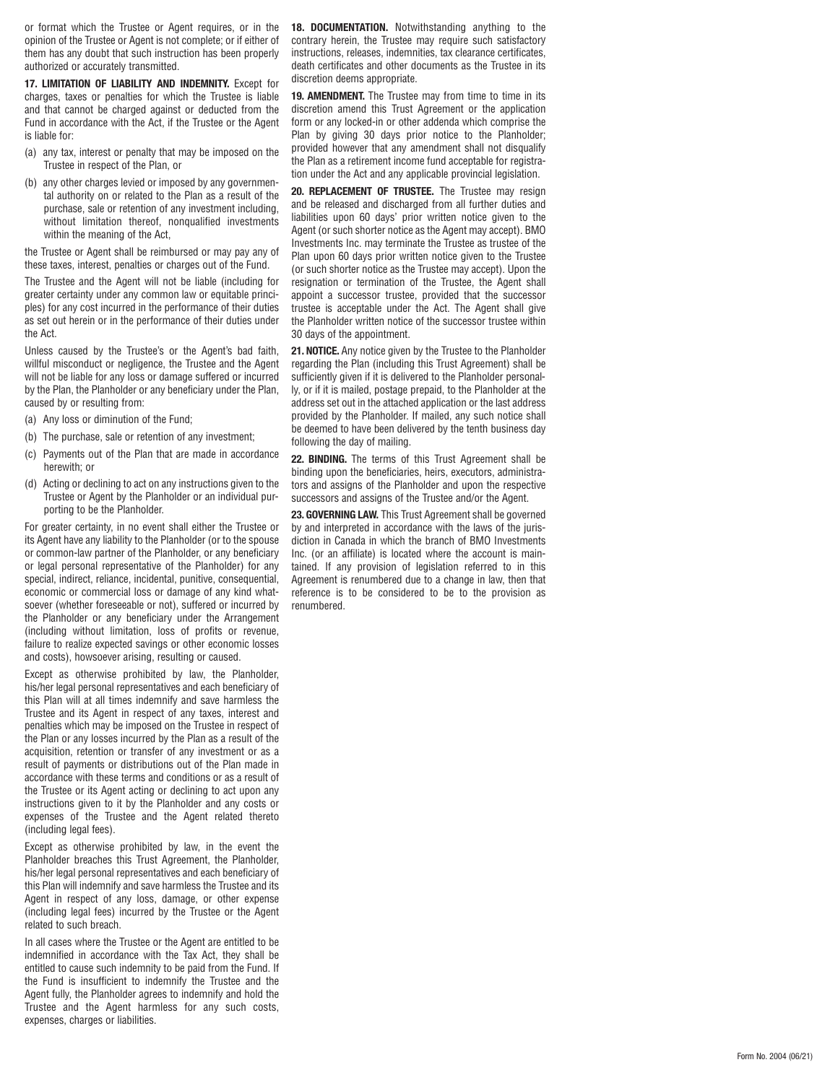or format which the Trustee or Agent requires, or in the opinion of the Trustee or Agent is not complete; or if either of them has any doubt that such instruction has been properly authorized or accurately transmitted.

**17. LIMITATION OF LIABILITY AND INDEMNITY.** Except for charges, taxes or penalties for which the Trustee is liable and that cannot be charged against or deducted from the Fund in accordance with the Act, if the Trustee or the Agent is liable for:

- (a) any tax, interest or penalty that may be imposed on the Trustee in respect of the Plan, or
- (b) any other charges levied or imposed by any governmental authority on or related to the Plan as a result of the purchase, sale or retention of any investment including, without limitation thereof, nonqualified investments within the meaning of the Act,

the Trustee or Agent shall be reimbursed or may pay any of these taxes, interest, penalties or charges out of the Fund.

The Trustee and the Agent will not be liable (including for greater certainty under any common law or equitable principles) for any cost incurred in the performance of their duties as set out herein or in the performance of their duties under the Act.

Unless caused by the Trustee's or the Agent's bad faith, willful misconduct or negligence, the Trustee and the Agent will not be liable for any loss or damage suffered or incurred by the Plan, the Planholder or any beneficiary under the Plan, caused by or resulting from:

- (a) Any loss or diminution of the Fund;
- (b) The purchase, sale or retention of any investment;
- (c) Payments out of the Plan that are made in accordance herewith; or
- (d) Acting or declining to act on any instructions given to the Trustee or Agent by the Planholder or an individual pur porting to be the Planholder.

For greater certainty, in no event shall either the Trustee or its Agent have any liability to the Planholder (or to the spouse or common-law partner of the Planholder, or any beneficiary or legal personal representative of the Planholder) for any special, indirect, reliance, incidental, punitive, consequential, economic or commercial loss or damage of any kind whatsoever (whether foreseeable or not), suffered or incurred by the Planholder or any beneficiary under the Arrangement (including without limitation, loss of profits or revenue, failure to realize expected savings or other economic losses and costs), howsoever arising, resulting or caused.

Except as otherwise prohibited by law, the Planholder, his/her legal personal representatives and each beneficiary of this Plan will at all times indemnify and save harmless the Trustee and its Agent in respect of any taxes, interest and penalties which may be imposed on the Trustee in respect of the Plan or any losses incurred by the Plan as a result of the acquisition, retention or transfer of any investment or as a result of payments or distributions out of the Plan made in accordance with these terms and conditions or as a result of the Trustee or its Agent acting or declining to act upon any instructions given to it by the Planholder and any costs or expenses of the Trustee and the Agent related thereto (including legal fees).

Except as otherwise prohibited by law, in the event the Planholder breaches this Trust Agreement, the Planholder, his/her legal personal representatives and each beneficiary of this Plan will indemnify and save harmless the Trustee and its Agent in respect of any loss, damage, or other expense (including legal fees) incurred by the Trustee or the Agent related to such breach.

In all cases where the Trustee or the Agent are entitled to be indemnified in accordance with the Tax Act, they shall be entitled to cause such indemnity to be paid from the Fund. If the Fund is insufficient to indemnify the Trustee and the Agent fully, the Planholder agrees to indemnify and hold the Trustee and the Agent harmless for any such costs, expenses, charges or liabilities.

**18. DOCUMENTATION.** Notwithstanding anything to the contrary herein, the Trustee may require such satisfactory instructions, releases, indemnities, tax clearance certificates, death certificates and other documents as the Trustee in its discretion deems appropriate.

**19. AMENDMENT.** The Trustee may from time to time in its discretion amend this Trust Agreement or the application form or any locked-in or other addenda which comprise the Plan by giving 30 days prior notice to the Planholder; provided however that any amendment shall not disqualify the Plan as a retirement income fund acceptable for registration under the Act and any applicable provincial legislation.

**20. REPLACEMENT OF TRUSTEE.** The Trustee may resign and be released and discharged from all further duties and liabilities upon 60 days' prior written notice given to the Agent (or such shorter notice as the Agent may accept). BMO Investments Inc. may terminate the Trustee as trustee of the Plan upon 60 days prior written notice given to the Trustee (or such shorter notice as the Trustee may accept). Upon the resignation or termination of the Trustee, the Agent shall appoint a successor trustee, provided that the successor trustee is acceptable under the Act. The Agent shall give the Planholder written notice of the successor trustee within 30 days of the appointment.

**21. NOTICE.** Any notice given by the Trustee to the Planholder regarding the Plan (including this Trust Agreement) shall be sufficiently given if it is delivered to the Planholder personally, or if it is mailed, postage prepaid, to the Planholder at the address set out in the attached application or the last address provided by the Planholder. If mailed, any such notice shall be deemed to have been delivered by the tenth business day following the day of mailing.

22. **BINDING.** The terms of this Trust Agreement shall be binding upon the beneficiaries, heirs, executors, administrators and assigns of the Planholder and upon the respective successors and assigns of the Trustee and/or the Agent.

**23. GOVERNING LAW.** This Trust Agreement shall be governed by and interpreted in accordance with the laws of the jurisdiction in Canada in which the branch of BMO Investments Inc. (or an affiliate) is located where the account is maintained. If any provision of legislation referred to in this Agreement is renumbered due to a change in law, then that reference is to be considered to be to the provision as renumbered.